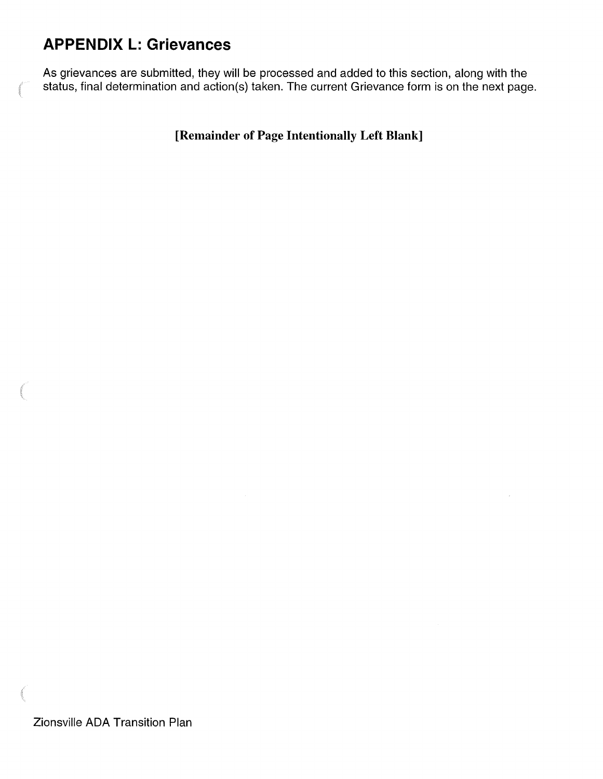## **APPENDIX L: Grievances**

As grievances are submitted, they will be processed and added to this section, along with the status, final determination and action(s) taken. The current Grievance form is on the next page.

**[Remainder of Page Intentionally Left Blank]**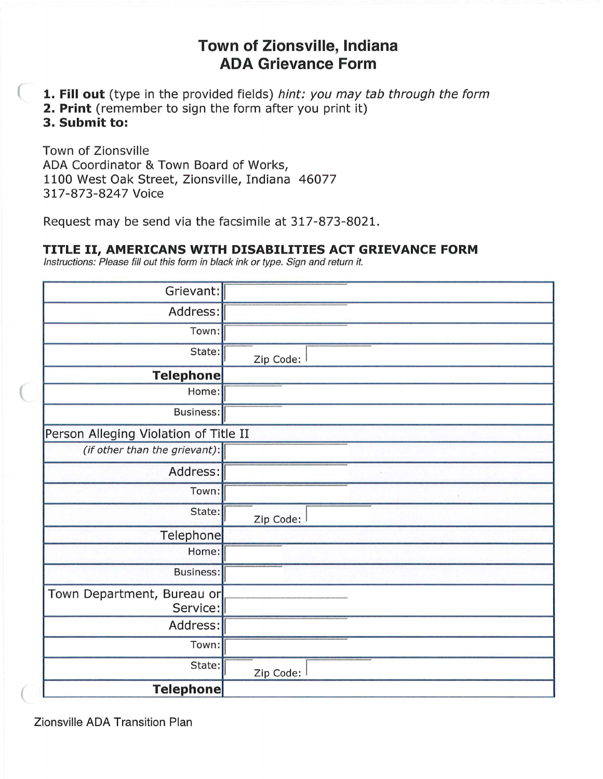## **Town of Zionsville, Indiana ADA Grievance Form**

- **1. Fill out** (type in the provided fields) hint: you may tab through the form
- **2. Print** (remember to sign the form after you print it)

**3. Submit to:** 

Town of Zionsville ADA Coordinator & Town Board of Works, 1100 West Oak Street, Zionsville, Indiana 46077 317-873-8247 Voice

Request may be send via the facsimile at 317-873-8021.

## **TITLE** II, **AMERICANS WITH DISABILITIES ACT GRIEVANCE FORM**

Instructions: Please fill out this form in black ink or type. Sign and return it.

| Grievant:                              |           |
|----------------------------------------|-----------|
| Address:                               |           |
| Town:                                  |           |
| State:                                 | Zip Code: |
| <b>Telephone</b>                       |           |
| Home:                                  |           |
| Business:                              |           |
| Person Alleging Violation of Title II  |           |
| (if other than the grievant):          |           |
| Address:                               |           |
| Town:                                  |           |
| State:                                 | Zip Code: |
| Telephone                              |           |
| Home:                                  |           |
| <b>Business:</b>                       |           |
| Town Department, Bureau or<br>Service: |           |
| Address:                               |           |
| Town:                                  |           |
| State:                                 | Zip Code: |
| <b>Telephone</b>                       |           |

Zionsville ADA Transition Plan

(